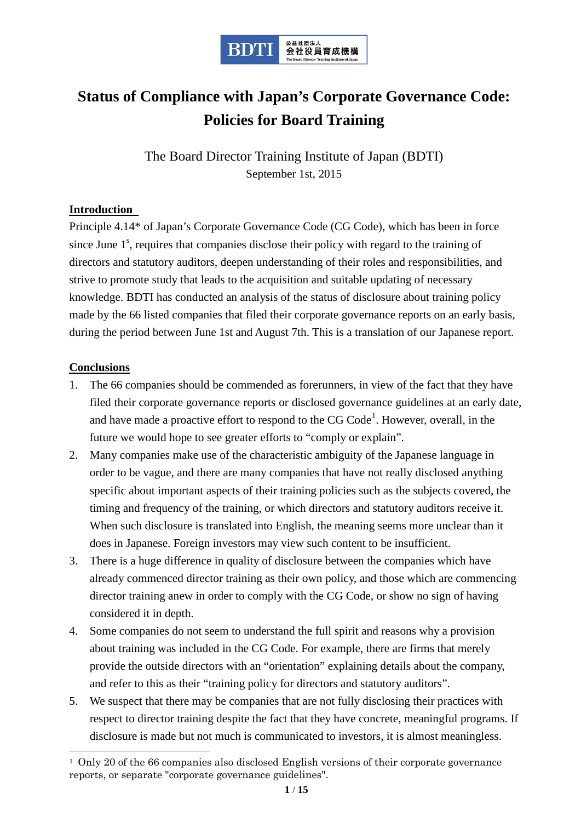

# **Status of Compliance with Japan's Corporate Governance Code: Policies for Board Training**

The Board Director Training Institute of Japan (BDTI) September 1st, 2015

#### **Introduction**

Principle 4.14\* of Japan's Corporate Governance Code (CG Code), which has been in force since June 1<sup>s</sup>, requires that companies disclose their policy with regard to the training of directors and statutory auditors, deepen understanding of their roles and responsibilities, and strive to promote study that leads to the acquisition and suitable updating of necessary knowledge. BDTI has conducted an analysis of the status of disclosure about training policy made by the 66 listed companies that filed their corporate governance reports on an early basis, during the period between June 1st and August 7th. This is a translation of our Japanese report.

#### **Conclusions**

- 1. The 66 companies should be commended as forerunners, in view of the fact that they have filed their corporate governance reports or disclosed governance guidelines at an early date, and have made a proactive effort to respond to the  $CG$   $Code<sup>1</sup>$  $Code<sup>1</sup>$  $Code<sup>1</sup>$ . However, overall, in the future we would hope to see greater efforts to "comply or explain".
- 2. Many companies make use of the characteristic ambiguity of the Japanese language in order to be vague, and there are many companies that have not really disclosed anything specific about important aspects of their training policies such as the subjects covered, the timing and frequency of the training, or which directors and statutory auditors receive it. When such disclosure is translated into English, the meaning seems more unclear than it does in Japanese. Foreign investors may view such content to be insufficient.
- 3. There is a huge difference in quality of disclosure between the companies which have already commenced director training as their own policy, and those which are commencing director training anew in order to comply with the CG Code, or show no sign of having considered it in depth.
- 4. Some companies do not seem to understand the full spirit and reasons why a provision about training was included in the CG Code. For example, there are firms that merely provide the outside directors with an "orientation" explaining details about the company, and refer to this as their "training policy for directors and statutory auditors".
- 5. We suspect that there may be companies that are not fully disclosing their practices with respect to director training despite the fact that they have concrete, meaningful programs. If disclosure is made but not much is communicated to investors, it is almost meaningless.

<span id="page-0-0"></span> <sup>1</sup> Only 20 of the 66 companies also disclosed English versions of their corporate governance reports, or separate "corporate governance guidelines".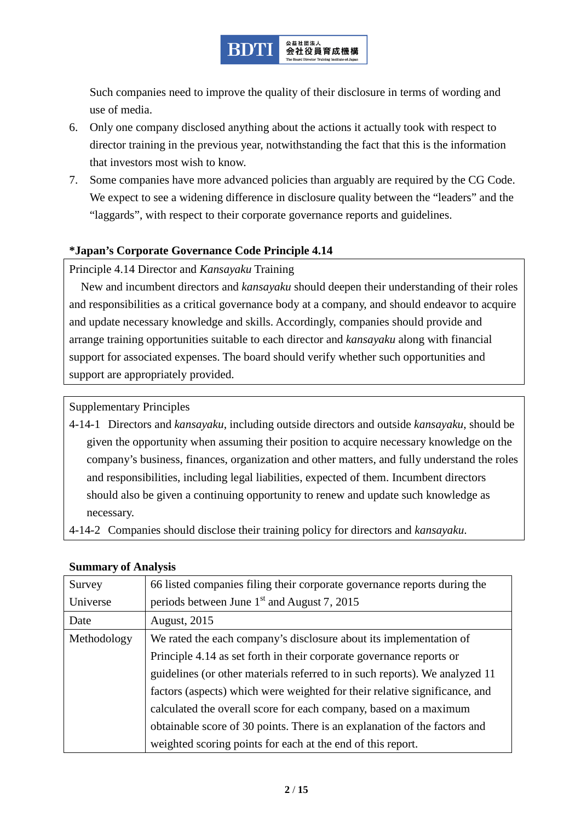

Such companies need to improve the quality of their disclosure in terms of wording and use of media.

- 6. Only one company disclosed anything about the actions it actually took with respect to director training in the previous year, notwithstanding the fact that this is the information that investors most wish to know.
- 7. Some companies have more advanced policies than arguably are required by the CG Code. We expect to see a widening difference in disclosure quality between the "leaders" and the "laggards", with respect to their corporate governance reports and guidelines.

## **\*Japan's Corporate Governance Code Principle 4.14**

#### Principle 4.14 Director and *Kansayaku* Training

New and incumbent directors and *kansayaku* should deepen their understanding of their roles and responsibilities as a critical governance body at a company, and should endeavor to acquire and update necessary knowledge and skills. Accordingly, companies should provide and arrange training opportunities suitable to each director and *kansayaku* along with financial support for associated expenses. The board should verify whether such opportunities and support are appropriately provided.

Supplementary Principles

- 4-14-1 Directors and *kansayaku*, including outside directors and outside *kansayaku*, should be given the opportunity when assuming their position to acquire necessary knowledge on the company's business, finances, organization and other matters, and fully understand the roles and responsibilities, including legal liabilities, expected of them. Incumbent directors should also be given a continuing opportunity to renew and update such knowledge as necessary.
- 4-14-2 Companies should disclose their training policy for directors and *kansayaku*.

#### **Summary of Analysis**

| Survey      | 66 listed companies filing their corporate governance reports during the    |  |  |
|-------------|-----------------------------------------------------------------------------|--|--|
| Universe    | periods between June $1st$ and August 7, 2015                               |  |  |
| Date        | <b>August, 2015</b>                                                         |  |  |
| Methodology | We rated the each company's disclosure about its implementation of          |  |  |
|             | Principle 4.14 as set forth in their corporate governance reports or        |  |  |
|             | guidelines (or other materials referred to in such reports). We analyzed 11 |  |  |
|             | factors (aspects) which were weighted for their relative significance, and  |  |  |
|             | calculated the overall score for each company, based on a maximum           |  |  |
|             | obtainable score of 30 points. There is an explanation of the factors and   |  |  |
|             | weighted scoring points for each at the end of this report.                 |  |  |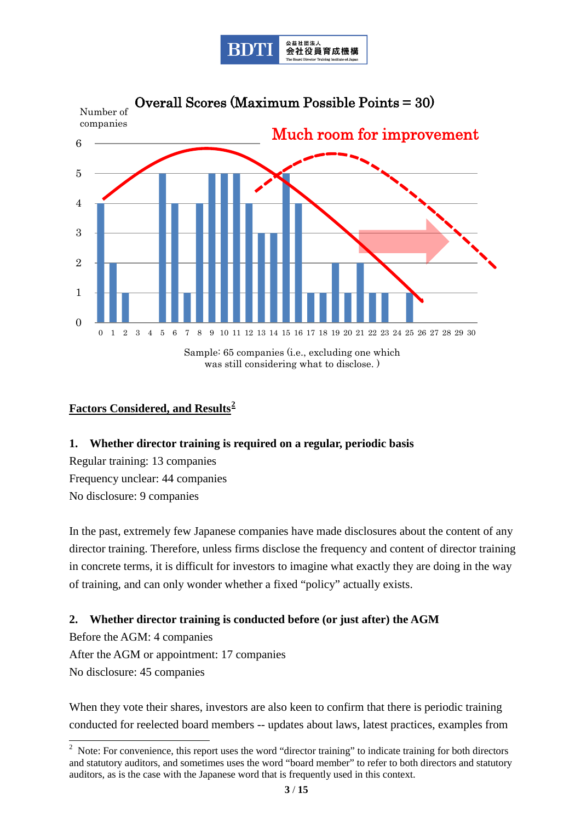



## **Factors Considered, and Results[2](#page-2-0)**

#### **1. Whether director training is required on a regular, periodic basis**

Regular training: 13 companies Frequency unclear: 44 companies No disclosure: 9 companies

In the past, extremely few Japanese companies have made disclosures about the content of any director training. Therefore, unless firms disclose the frequency and content of director training in concrete terms, it is difficult for investors to imagine what exactly they are doing in the way of training, and can only wonder whether a fixed "policy" actually exists.

#### **2. Whether director training is conducted before (or just after) the AGM**

Before the AGM: 4 companies After the AGM or appointment: 17 companies No disclosure: 45 companies

When they vote their shares, investors are also keen to confirm that there is periodic training conducted for reelected board members -- updates about laws, latest practices, examples from

<span id="page-2-0"></span><sup>&</sup>lt;sup>2</sup> Note: For convenience, this report uses the word "director training" to indicate training for both directors and statutory auditors, and sometimes uses the word "board member" to refer to both directors and statutory auditors, as is the case with the Japanese word that is frequently used in this context.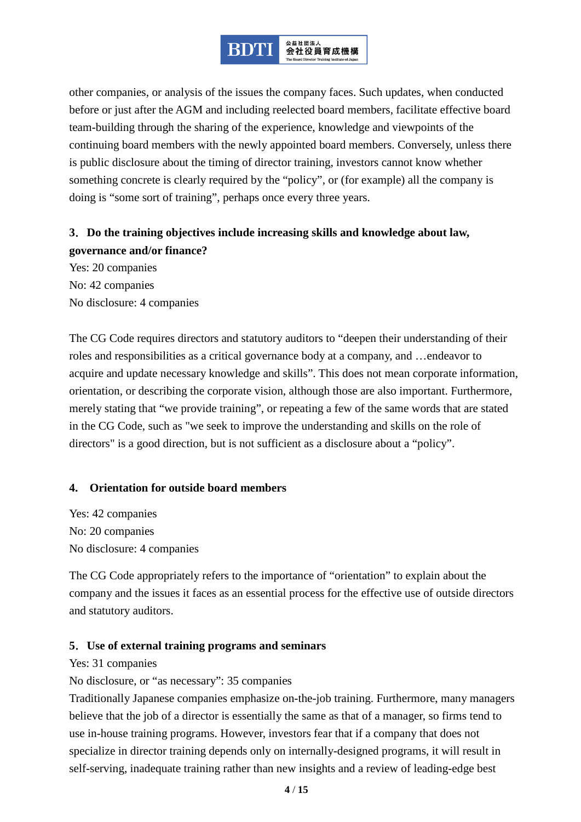

other companies, or analysis of the issues the company faces. Such updates, when conducted before or just after the AGM and including reelected board members, facilitate effective board team-building through the sharing of the experience, knowledge and viewpoints of the continuing board members with the newly appointed board members. Conversely, unless there is public disclosure about the timing of director training, investors cannot know whether something concrete is clearly required by the "policy", or (for example) all the company is doing is "some sort of training", perhaps once every three years.

# **3**.**Do the training objectives include increasing skills and knowledge about law, governance and/or finance?**

Yes: 20 companies No: 42 companies No disclosure: 4 companies

The CG Code requires directors and statutory auditors to "deepen their understanding of their roles and responsibilities as a critical governance body at a company, and …endeavor to acquire and update necessary knowledge and skills". This does not mean corporate information, orientation, or describing the corporate vision, although those are also important. Furthermore, merely stating that "we provide training", or repeating a few of the same words that are stated in the CG Code, such as "we seek to improve the understanding and skills on the role of directors" is a good direction, but is not sufficient as a disclosure about a "policy".

#### **4. Orientation for outside board members**

Yes: 42 companies No: 20 companies No disclosure: 4 companies

The CG Code appropriately refers to the importance of "orientation" to explain about the company and the issues it faces as an essential process for the effective use of outside directors and statutory auditors.

#### **5**.**Use of external training programs and seminars**

Yes: 31 companies

No disclosure, or "as necessary": 35 companies

Traditionally Japanese companies emphasize on-the-job training. Furthermore, many managers believe that the job of a director is essentially the same as that of a manager, so firms tend to use in-house training programs. However, investors fear that if a company that does not specialize in director training depends only on internally-designed programs, it will result in self-serving, inadequate training rather than new insights and a review of leading-edge best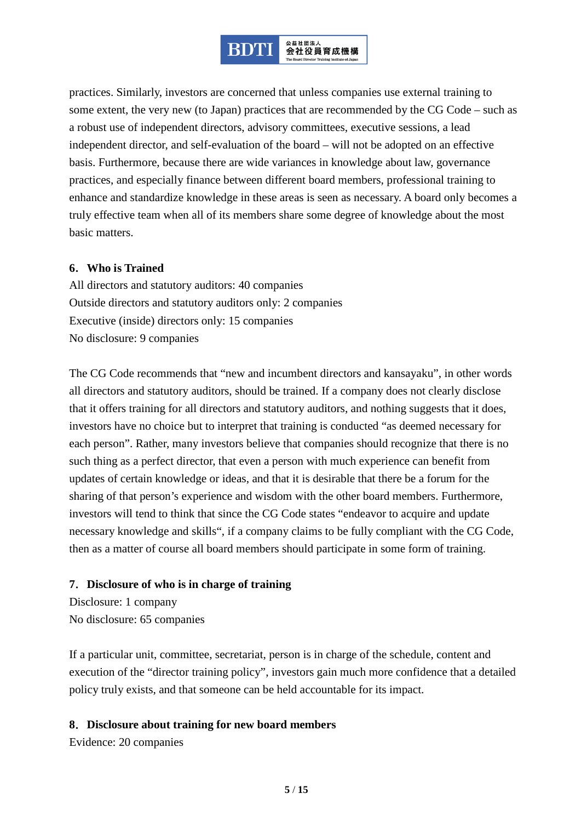

practices. Similarly, investors are concerned that unless companies use external training to some extent, the very new (to Japan) practices that are recommended by the CG Code – such as a robust use of independent directors, advisory committees, executive sessions, a lead independent director, and self-evaluation of the board – will not be adopted on an effective basis. Furthermore, because there are wide variances in knowledge about law, governance practices, and especially finance between different board members, professional training to enhance and standardize knowledge in these areas is seen as necessary. A board only becomes a truly effective team when all of its members share some degree of knowledge about the most basic matters.

#### **6**.**Who is Trained**

All directors and statutory auditors: 40 companies Outside directors and statutory auditors only: 2 companies Executive (inside) directors only: 15 companies No disclosure: 9 companies

The CG Code recommends that "new and incumbent directors and kansayaku", in other words all directors and statutory auditors, should be trained. If a company does not clearly disclose that it offers training for all directors and statutory auditors, and nothing suggests that it does, investors have no choice but to interpret that training is conducted "as deemed necessary for each person". Rather, many investors believe that companies should recognize that there is no such thing as a perfect director, that even a person with much experience can benefit from updates of certain knowledge or ideas, and that it is desirable that there be a forum for the sharing of that person's experience and wisdom with the other board members. Furthermore, investors will tend to think that since the CG Code states "endeavor to acquire and update necessary knowledge and skills", if a company claims to be fully compliant with the CG Code, then as a matter of course all board members should participate in some form of training.

#### **7**.**Disclosure of who is in charge of training**

Disclosure: 1 company No disclosure: 65 companies

If a particular unit, committee, secretariat, person is in charge of the schedule, content and execution of the "director training policy", investors gain much more confidence that a detailed policy truly exists, and that someone can be held accountable for its impact.

#### **8**.**Disclosure about training for new board members**

Evidence: 20 companies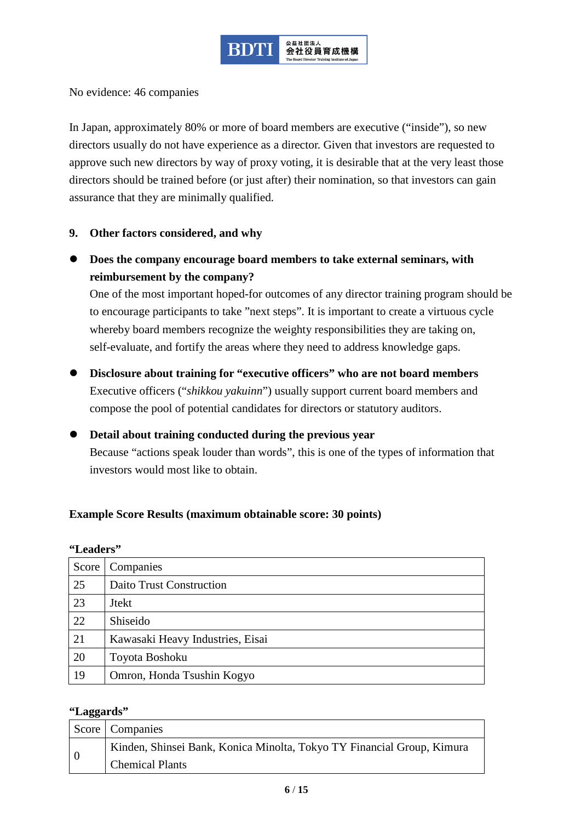

No evidence: 46 companies

In Japan, approximately 80% or more of board members are executive ("inside"), so new directors usually do not have experience as a director. Given that investors are requested to approve such new directors by way of proxy voting, it is desirable that at the very least those directors should be trained before (or just after) their nomination, so that investors can gain assurance that they are minimally qualified.

#### **9. Other factors considered, and why**

 **Does the company encourage board members to take external seminars, with reimbursement by the company?**

One of the most important hoped-for outcomes of any director training program should be to encourage participants to take "next steps". It is important to create a virtuous cycle whereby board members recognize the weighty responsibilities they are taking on, self-evaluate, and fortify the areas where they need to address knowledge gaps.

- **Disclosure about training for "executive officers" who are not board members** Executive officers ("*shikkou yakuinn*") usually support current board members and compose the pool of potential candidates for directors or statutory auditors.
- **Detail about training conducted during the previous year** Because "actions speak louder than words", this is one of the types of information that investors would most like to obtain.

#### **Example Score Results (maximum obtainable score: 30 points)**

| Score | Companies                        |  |
|-------|----------------------------------|--|
| 25    | <b>Daito Trust Construction</b>  |  |
| 23    | <b>Jtekt</b>                     |  |
| 22    | Shiseido                         |  |
| 21    | Kawasaki Heavy Industries, Eisai |  |
| 20    | Toyota Boshoku                   |  |
| 19    | Omron, Honda Tsushin Kogyo       |  |

#### **"Leaders"**

#### **"Laggards"**

|  | Score Companies                                                        |  |  |
|--|------------------------------------------------------------------------|--|--|
|  | Kinden, Shinsei Bank, Konica Minolta, Tokyo TY Financial Group, Kimura |  |  |
|  | Chemical Plants                                                        |  |  |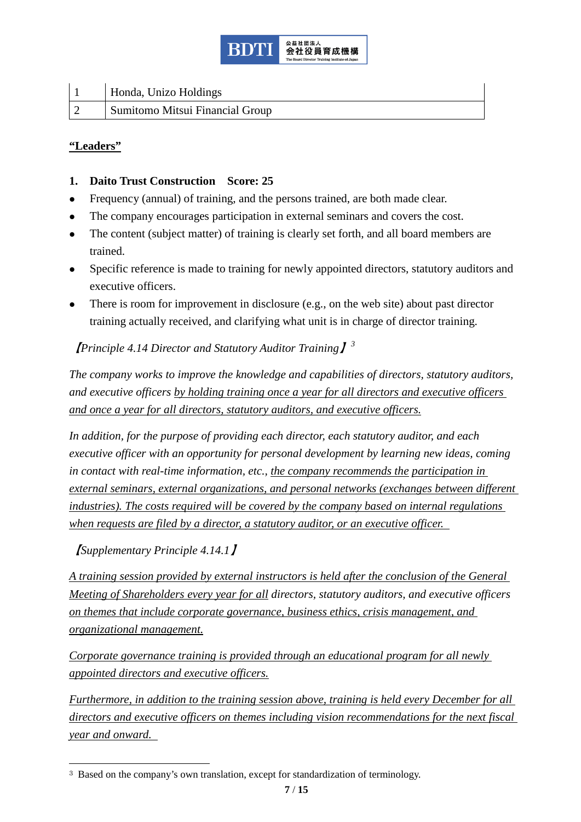

|            | Honda, Unizo Holdings           |
|------------|---------------------------------|
| $\sqrt{2}$ | Sumitomo Mitsui Financial Group |

#### **"Leaders"**

- **1. Daito Trust Construction Score: 25**
- Frequency (annual) of training, and the persons trained, are both made clear.
- The company encourages participation in external seminars and covers the cost.
- The content (subject matter) of training is clearly set forth, and all board members are trained.
- Specific reference is made to training for newly appointed directors, statutory auditors and executive officers.
- There is room for improvement in disclosure (e.g., on the web site) about past director training actually received, and clarifying what unit is in charge of director training.

# 【*Principle 4.14 Director and Statutory Auditor Training*】*[3](#page-6-0)*

*The company works to improve the knowledge and capabilities of directors, statutory auditors, and executive officers by holding training once a year for all directors and executive officers and once a year for all directors, statutory auditors, and executive officers.*

*In addition, for the purpose of providing each director, each statutory auditor, and each executive officer with an opportunity for personal development by learning new ideas, coming in contact with real-time information, etc., the company recommends the participation in external seminars, external organizations, and personal networks (exchanges between different industries). The costs required will be covered by the company based on internal regulations when requests are filed by a director, a statutory auditor, or an executive officer.* 

【*Supplementary Principle 4.14.1*】

*A training session provided by external instructors is held after the conclusion of the General Meeting of Shareholders every year for all directors, statutory auditors, and executive officers on themes that include corporate governance, business ethics, crisis management, and organizational management.*

*Corporate governance training is provided through an educational program for all newly appointed directors and executive officers.*

*Furthermore, in addition to the training session above, training is held every December for all directors and executive officers on themes including vision recommendations for the next fiscal year and onward.* 

<span id="page-6-0"></span><sup>&</sup>lt;sup>3</sup> Based on the company's own translation, except for standardization of terminology.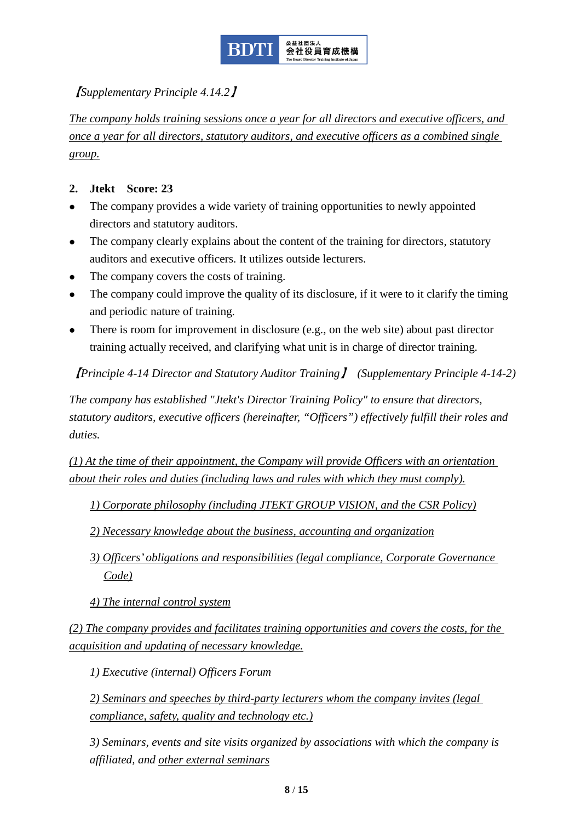

# 【*Supplementary Principle 4.14.2*】

*The company holds training sessions once a year for all directors and executive officers, and once a year for all directors, statutory auditors, and executive officers as a combined single group.*

#### **2. Jtekt Score: 23**

- The company provides a wide variety of training opportunities to newly appointed directors and statutory auditors.
- The company clearly explains about the content of the training for directors, statutory auditors and executive officers. It utilizes outside lecturers.
- The company covers the costs of training.
- The company could improve the quality of its disclosure, if it were to it clarify the timing and periodic nature of training.
- There is room for improvement in disclosure (e.g., on the web site) about past director training actually received, and clarifying what unit is in charge of director training.

【*Principle 4-14 Director and Statutory Auditor Training*】 *(Supplementary Principle 4-14-2)*

*The company has established "Jtekt's Director Training Policy" to ensure that directors, statutory auditors, executive officers (hereinafter, "Officers") effectively fulfill their roles and duties.*

*(1) At the time of their appointment, the Company will provide Officers with an orientation about their roles and duties (including laws and rules with which they must comply).*

*1) Corporate philosophy (including JTEKT GROUP VISION, and the CSR Policy)*

*2) Necessary knowledge about the business, accounting and organization*

- *3) Officers' obligations and responsibilities (legal compliance, Corporate Governance Code)*
- *4) The internal control system*

*(2) The company provides and facilitates training opportunities and covers the costs, for the acquisition and updating of necessary knowledge.*

*1) Executive (internal) Officers Forum*

*2) Seminars and speeches by third-party lecturers whom the company invites (legal compliance, safety, quality and technology etc.)*

*3) Seminars, events and site visits organized by associations with which the company is affiliated, and other external seminars*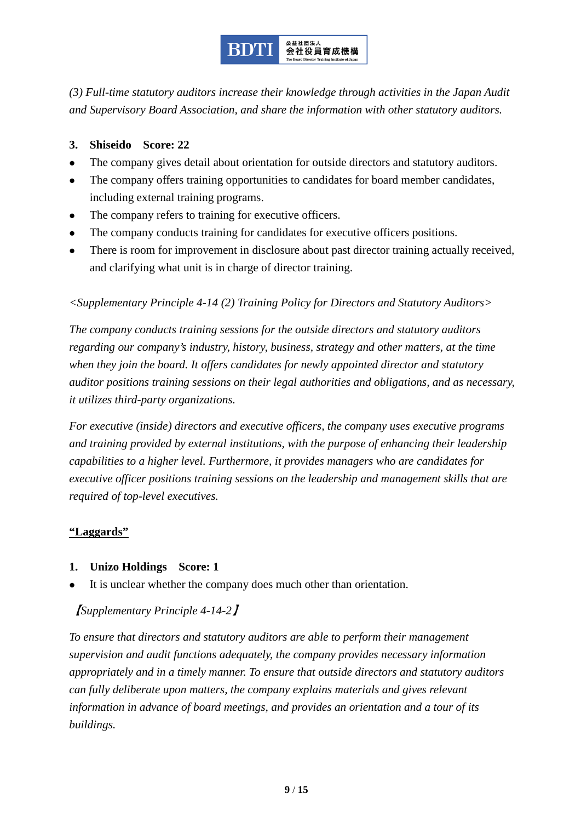

*(3) Full-time statutory auditors increase their knowledge through activities in the Japan Audit and Supervisory Board Association, and share the information with other statutory auditors.*

#### **3. Shiseido Score: 22**

- The company gives detail about orientation for outside directors and statutory auditors.
- The company offers training opportunities to candidates for board member candidates, including external training programs.
- The company refers to training for executive officers.
- The company conducts training for candidates for executive officers positions.
- There is room for improvement in disclosure about past director training actually received, and clarifying what unit is in charge of director training.

#### *<Supplementary Principle 4-14 (2) Training Policy for Directors and Statutory Auditors>*

*The company conducts training sessions for the outside directors and statutory auditors regarding our company's industry, history, business, strategy and other matters, at the time when they join the board. It offers candidates for newly appointed director and statutory auditor positions training sessions on their legal authorities and obligations, and as necessary, it utilizes third-party organizations.*

*For executive (inside) directors and executive officers, the company uses executive programs and training provided by external institutions, with the purpose of enhancing their leadership capabilities to a higher level. Furthermore, it provides managers who are candidates for executive officer positions training sessions on the leadership and management skills that are required of top-level executives.*

## **"Laggards"**

- **1. Unizo Holdings Score: 1**
- It is unclear whether the company does much other than orientation.

## 【*Supplementary Principle 4-14-2*】

*To ensure that directors and statutory auditors are able to perform their management supervision and audit functions adequately, the company provides necessary information appropriately and in a timely manner. To ensure that outside directors and statutory auditors can fully deliberate upon matters, the company explains materials and gives relevant information in advance of board meetings, and provides an orientation and a tour of its buildings.*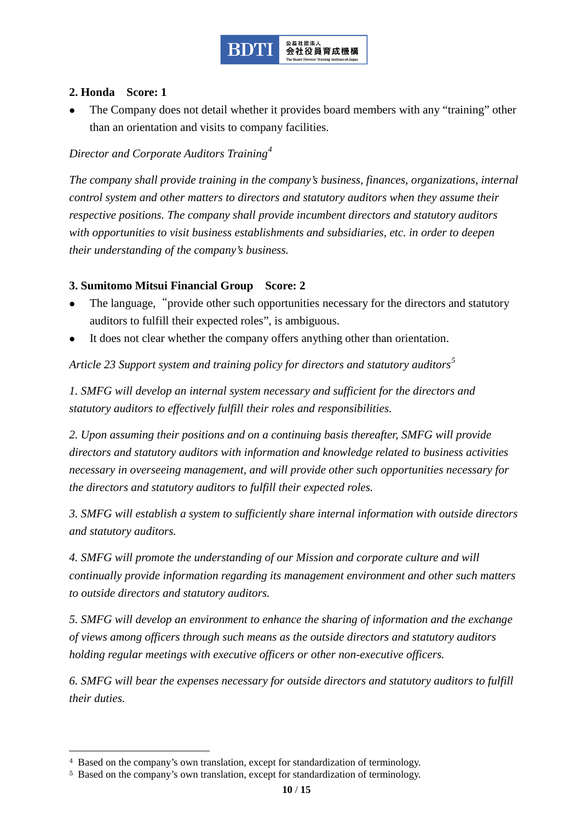

#### **2. Honda Score: 1**

 The Company does not detail whether it provides board members with any "training" other than an orientation and visits to company facilities.

## *Director and Corporate Auditors Training[4](#page-9-0)*

*The company shall provide training in the company's business, finances, organizations, internal control system and other matters to directors and statutory auditors when they assume their respective positions. The company shall provide incumbent directors and statutory auditors with opportunities to visit business establishments and subsidiaries, etc. in order to deepen their understanding of the company's business.*

#### **3. Sumitomo Mitsui Financial Group Score: 2**

- The language, "provide other such opportunities necessary for the directors and statutory auditors to fulfill their expected roles", is ambiguous.
- It does not clear whether the company offers anything other than orientation.

*Article 23 Support system and training policy for directors and statutory auditors[5](#page-9-1)*

*1. SMFG will develop an internal system necessary and sufficient for the directors and statutory auditors to effectively fulfill their roles and responsibilities.*

*2. Upon assuming their positions and on a continuing basis thereafter, SMFG will provide directors and statutory auditors with information and knowledge related to business activities necessary in overseeing management, and will provide other such opportunities necessary for the directors and statutory auditors to fulfill their expected roles.*

*3. SMFG will establish a system to sufficiently share internal information with outside directors and statutory auditors.*

*4. SMFG will promote the understanding of our Mission and corporate culture and will continually provide information regarding its management environment and other such matters to outside directors and statutory auditors.*

*5. SMFG will develop an environment to enhance the sharing of information and the exchange of views among officers through such means as the outside directors and statutory auditors holding regular meetings with executive officers or other non-executive officers.*

*6. SMFG will bear the expenses necessary for outside directors and statutory auditors to fulfill their duties.*

<span id="page-9-0"></span> <sup>4</sup> Based on the company's own translation, except for standardization of terminology.

<span id="page-9-1"></span><sup>5</sup> Based on the company's own translation, except for standardization of terminology.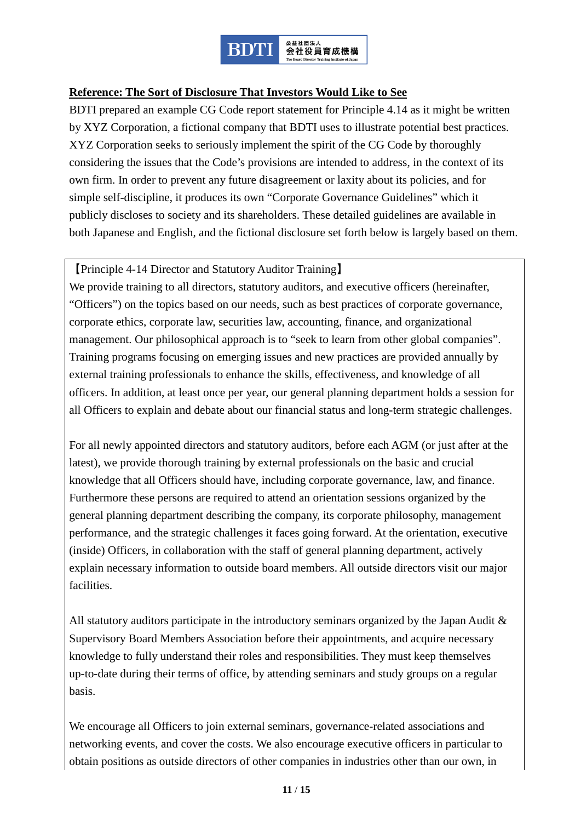

#### **Reference: The Sort of Disclosure That Investors Would Like to See**

BDTI prepared an example CG Code report statement for Principle 4.14 as it might be written by XYZ Corporation, a fictional company that BDTI uses to illustrate potential best practices. XYZ Corporation seeks to seriously implement the spirit of the CG Code by thoroughly considering the issues that the Code's provisions are intended to address, in the context of its own firm. In order to prevent any future disagreement or laxity about its policies, and for simple self-discipline, it produces its own "Corporate Governance Guidelines" which it publicly discloses to society and its shareholders. These detailed guidelines are available in both Japanese and English, and the fictional disclosure set forth below is largely based on them.

#### 【Principle 4-14 Director and Statutory Auditor Training】

We provide training to all directors, statutory auditors, and executive officers (hereinafter, "Officers") on the topics based on our needs, such as best practices of corporate governance, corporate ethics, corporate law, securities law, accounting, finance, and organizational management. Our philosophical approach is to "seek to learn from other global companies". Training programs focusing on emerging issues and new practices are provided annually by external training professionals to enhance the skills, effectiveness, and knowledge of all officers. In addition, at least once per year, our general planning department holds a session for all Officers to explain and debate about our financial status and long-term strategic challenges.

For all newly appointed directors and statutory auditors, before each AGM (or just after at the latest), we provide thorough training by external professionals on the basic and crucial knowledge that all Officers should have, including corporate governance, law, and finance. Furthermore these persons are required to attend an orientation sessions organized by the general planning department describing the company, its corporate philosophy, management performance, and the strategic challenges it faces going forward. At the orientation, executive (inside) Officers, in collaboration with the staff of general planning department, actively explain necessary information to outside board members. All outside directors visit our major facilities.

All statutory auditors participate in the introductory seminars organized by the Japan Audit & Supervisory Board Members Association before their appointments, and acquire necessary knowledge to fully understand their roles and responsibilities. They must keep themselves up-to-date during their terms of office, by attending seminars and study groups on a regular basis.

We encourage all Officers to join external seminars, governance-related associations and networking events, and cover the costs. We also encourage executive officers in particular to obtain positions as outside directors of other companies in industries other than our own, in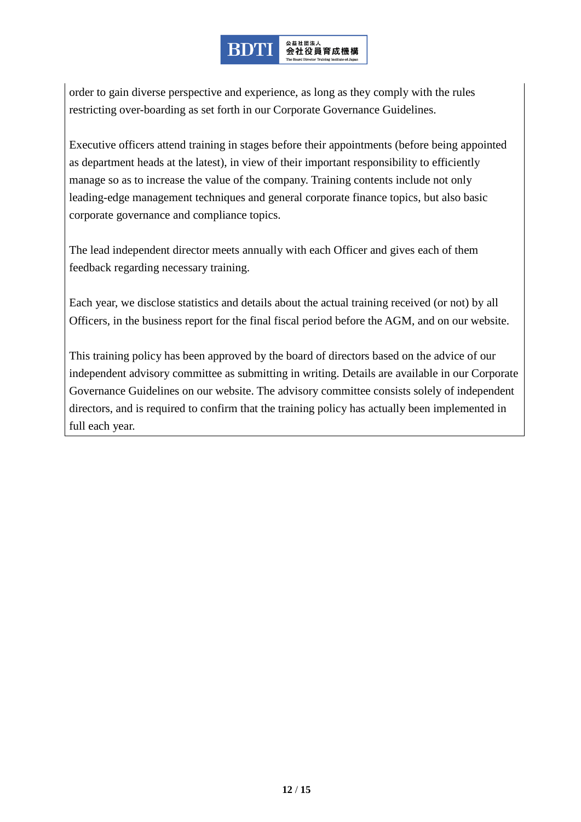#### <sub>公益社団法人</sub><br>会社役員育成機構 **BDT**

order to gain diverse perspective and experience, as long as they comply with the rules restricting over-boarding as set forth in our Corporate Governance Guidelines.

Executive officers attend training in stages before their appointments (before being appointed as department heads at the latest), in view of their important responsibility to efficiently manage so as to increase the value of the company. Training contents include not only leading-edge management techniques and general corporate finance topics, but also basic corporate governance and compliance topics.

The lead independent director meets annually with each Officer and gives each of them feedback regarding necessary training.

Each year, we disclose statistics and details about the actual training received (or not) by all Officers, in the business report for the final fiscal period before the AGM, and on our website.

This training policy has been approved by the board of directors based on the advice of our independent advisory committee as submitting in writing. Details are available in our Corporate Governance Guidelines on our website. The advisory committee consists solely of independent directors, and is required to confirm that the training policy has actually been implemented in full each year.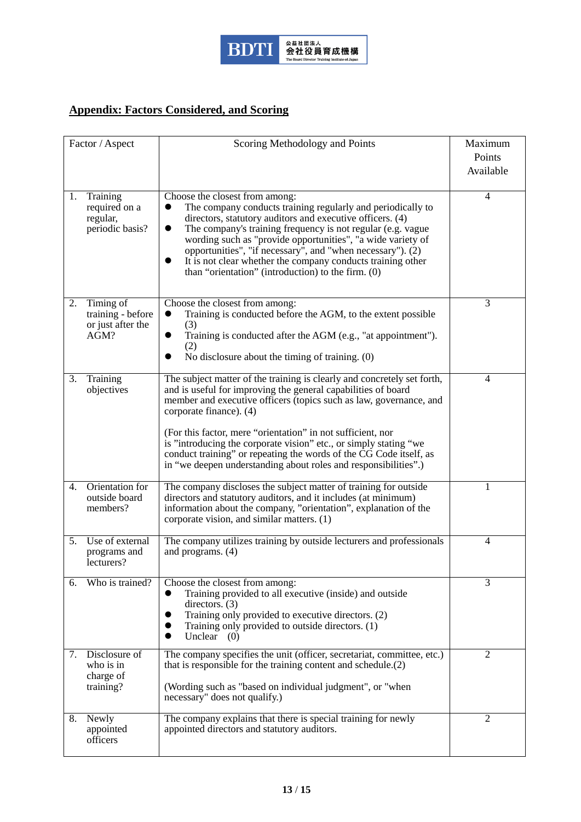

# **Appendix: Factors Considered, and Scoring**

|    | Factor / Aspect                                             | Scoring Methodology and Points                                                                                                                                                                                                                                                                                                                                                                                                                                                                                         | Maximum<br>Points<br>Available |
|----|-------------------------------------------------------------|------------------------------------------------------------------------------------------------------------------------------------------------------------------------------------------------------------------------------------------------------------------------------------------------------------------------------------------------------------------------------------------------------------------------------------------------------------------------------------------------------------------------|--------------------------------|
| 1. | Training<br>required on a<br>regular,<br>periodic basis?    | Choose the closest from among:<br>The company conducts training regularly and periodically to<br>directors, statutory auditors and executive officers. (4)<br>The company's training frequency is not regular (e.g. vague<br>$\bullet$<br>wording such as "provide opportunities", "a wide variety of<br>opportunities", "if necessary", and "when necessary"). (2)<br>It is not clear whether the company conducts training other<br>than "orientation" (introduction) to the firm. (0)                               | 4                              |
| 2. | Timing of<br>training - before<br>or just after the<br>AGM? | Choose the closest from among:<br>Training is conducted before the AGM, to the extent possible<br>(3)<br>Training is conducted after the AGM (e.g., "at appointment").<br>$\bullet$<br>(2)<br>No disclosure about the timing of training. (0)                                                                                                                                                                                                                                                                          | 3                              |
| 3. | Training<br>objectives                                      | The subject matter of the training is clearly and concretely set forth,<br>and is useful for improving the general capabilities of board<br>member and executive officers (topics such as law, governance, and<br>corporate finance). (4)<br>(For this factor, mere "orientation" in not sufficient, nor<br>is "introducing the corporate vision" etc., or simply stating "we<br>conduct training" or repeating the words of the CG Code itself, as<br>in "we deepen understanding about roles and responsibilities".) | $\overline{4}$                 |
| 4. | Orientation for<br>outside board<br>members?                | The company discloses the subject matter of training for outside<br>directors and statutory auditors, and it includes (at minimum)<br>information about the company, "orientation", explanation of the<br>corporate vision, and similar matters. (1)                                                                                                                                                                                                                                                                   |                                |
| 5. | Use of external<br>programs and<br>lecturers?               | The company utilizes training by outside lecturers and professionals<br>and programs. $(4)$                                                                                                                                                                                                                                                                                                                                                                                                                            | $\overline{4}$                 |
| 6. | Who is trained?                                             | Choose the closest from among:<br>Training provided to all executive (inside) and outside<br>$\bullet$<br>directors. $(3)$<br>Training only provided to executive directors. (2)<br>Training only provided to outside directors. (1)<br>Unclear $(0)$                                                                                                                                                                                                                                                                  | 3                              |
| 7. | Disclosure of<br>who is in<br>charge of<br>training?        | The company specifies the unit (officer, secretariat, committee, etc.)<br>that is responsible for the training content and schedule.(2)<br>(Wording such as "based on individual judgment", or "when<br>necessary" does not qualify.)                                                                                                                                                                                                                                                                                  | 2                              |
| 8. | Newly<br>appointed<br>officers                              | The company explains that there is special training for newly<br>appointed directors and statutory auditors.                                                                                                                                                                                                                                                                                                                                                                                                           | $\mathfrak{2}$                 |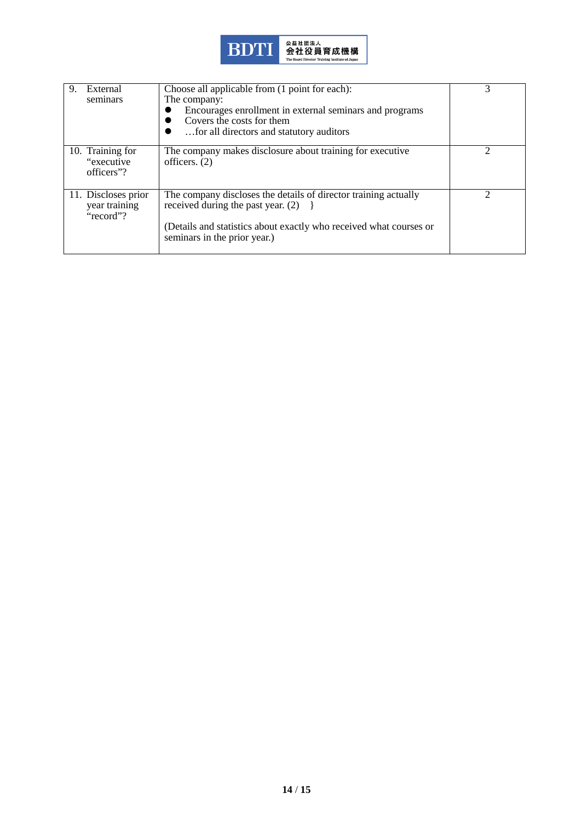

| External<br>9.<br>seminars                        | Choose all applicable from (1 point for each):<br>The company:<br>Encourages enrollment in external seminars and programs<br>Covers the costs for them<br>for all directors and statutory auditors              |   |
|---------------------------------------------------|-----------------------------------------------------------------------------------------------------------------------------------------------------------------------------------------------------------------|---|
| 10. Training for<br>"executive"<br>officers"?     | The company makes disclosure about training for executive<br>officers. $(2)$                                                                                                                                    |   |
| 11. Discloses prior<br>year training<br>"record"? | The company discloses the details of director training actually<br>received during the past year. $(2)$ }<br>(Details and statistics about exactly who received what courses or<br>seminars in the prior year.) | ↑ |